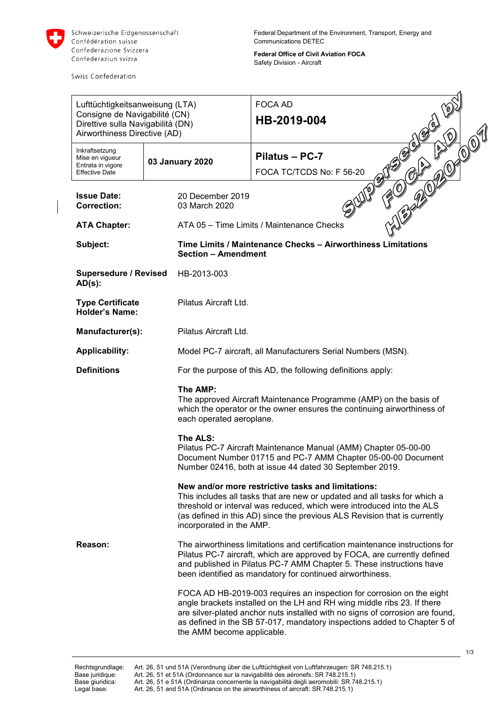

Schweizerische Eidgenossenschaft Confédération suisse Confederazione Svizzera Confederaziun svizra

Swiss Confederation

Federal Department of the Environment, Transport, Energy and Communications DETEC

**Federal Office of Civil Aviation FOCA** Safety Division - Aircraft

| Lufttüchtigkeitsanweisung (LTA)<br>Consigne de Navigabilité (CN)<br>Direttive sulla Navigabilità (DN)<br>Airworthiness Directive (AD) |                 |                                                                                                                                                                                                                                                                                                                   | <b>FOCA AD</b><br>Ý.<br>HB-2019-004                                                                                                                                                                                                                                                                           |  |
|---------------------------------------------------------------------------------------------------------------------------------------|-----------------|-------------------------------------------------------------------------------------------------------------------------------------------------------------------------------------------------------------------------------------------------------------------------------------------------------------------|---------------------------------------------------------------------------------------------------------------------------------------------------------------------------------------------------------------------------------------------------------------------------------------------------------------|--|
| Inkraftsetzung<br>Mise en vigueur<br>Entrata in vigore<br><b>Effective Date</b>                                                       | 03 January 2020 |                                                                                                                                                                                                                                                                                                                   | 22010191<br>Pilatus - PC-7<br>$\triangleright$<br>FOCA TC/TCDS No: F 56-20                                                                                                                                                                                                                                    |  |
| <b>Issue Date:</b><br><b>Correction:</b>                                                                                              |                 | 20 December 2019<br>03 March 2020                                                                                                                                                                                                                                                                                 |                                                                                                                                                                                                                                                                                                               |  |
| <b>ATA Chapter:</b>                                                                                                                   |                 |                                                                                                                                                                                                                                                                                                                   | ATA 05 - Time Limits / Maintenance Checks                                                                                                                                                                                                                                                                     |  |
| Subject:                                                                                                                              |                 | Time Limits / Maintenance Checks - Airworthiness Limitations<br><b>Section - Amendment</b>                                                                                                                                                                                                                        |                                                                                                                                                                                                                                                                                                               |  |
| <b>Supersedure / Revised</b><br>$AD(s)$ :                                                                                             |                 | HB-2013-003                                                                                                                                                                                                                                                                                                       |                                                                                                                                                                                                                                                                                                               |  |
| <b>Type Certificate</b><br><b>Holder's Name:</b>                                                                                      |                 | Pilatus Aircraft Ltd.                                                                                                                                                                                                                                                                                             |                                                                                                                                                                                                                                                                                                               |  |
| Manufacturer(s):                                                                                                                      |                 | Pilatus Aircraft Ltd.                                                                                                                                                                                                                                                                                             |                                                                                                                                                                                                                                                                                                               |  |
| <b>Applicability:</b>                                                                                                                 |                 | Model PC-7 aircraft, all Manufacturers Serial Numbers (MSN).                                                                                                                                                                                                                                                      |                                                                                                                                                                                                                                                                                                               |  |
| <b>Definitions</b>                                                                                                                    |                 | For the purpose of this AD, the following definitions apply:                                                                                                                                                                                                                                                      |                                                                                                                                                                                                                                                                                                               |  |
|                                                                                                                                       |                 | The AMP:<br>each operated aeroplane.                                                                                                                                                                                                                                                                              | The approved Aircraft Maintenance Programme (AMP) on the basis of<br>which the operator or the owner ensures the continuing airworthiness of                                                                                                                                                                  |  |
|                                                                                                                                       |                 | The ALS:                                                                                                                                                                                                                                                                                                          | Pilatus PC-7 Aircraft Maintenance Manual (AMM) Chapter 05-00-00<br>Document Number 01715 and PC-7 AMM Chapter 05-00-00 Document<br>Number 02416, both at issue 44 dated 30 September 2019.                                                                                                                    |  |
|                                                                                                                                       |                 | New and/or more restrictive tasks and limitations:<br>This includes all tasks that are new or updated and all tasks for which a<br>threshold or interval was reduced, which were introduced into the ALS<br>(as defined in this AD) since the previous ALS Revision that is currently<br>incorporated in the AMP. |                                                                                                                                                                                                                                                                                                               |  |
| Reason:                                                                                                                               |                 | The airworthiness limitations and certification maintenance instructions for<br>Pilatus PC-7 aircraft, which are approved by FOCA, are currently defined<br>and published in Pilatus PC-7 AMM Chapter 5. These instructions have<br>been identified as mandatory for continued airworthiness.                     |                                                                                                                                                                                                                                                                                                               |  |
|                                                                                                                                       |                 | the AMM become applicable.                                                                                                                                                                                                                                                                                        | FOCA AD HB-2019-003 requires an inspection for corrosion on the eight<br>angle brackets installed on the LH and RH wing middle ribs 23. If there<br>are silver-plated anchor nuts installed with no signs of corrosion are found,<br>as defined in the SB 57-017, mandatory inspections added to Chapter 5 of |  |
|                                                                                                                                       |                 |                                                                                                                                                                                                                                                                                                                   | 1/3                                                                                                                                                                                                                                                                                                           |  |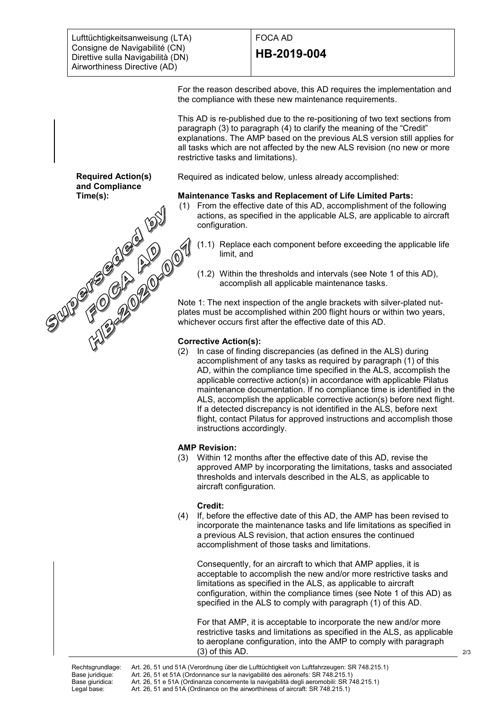Lufttüchtigkeitsanweisung (LTA) Consigne de Navigabilité (CN) Direttive sulla Navigabilità (DN) Airworthiness Directive (AD)

**Required Action(s) and Compliance** 

# FOCA AD **HB-2019-004**

For the reason described above, this AD requires the implementation and the compliance with these new maintenance requirements.

This AD is re-published due to the re-positioning of two text sections from paragraph (3) to paragraph (4) to clarify the meaning of the "Credit" explanations. The AMP based on the previous ALS version still applies for all tasks which are not affected by the new ALS revision (no new or more restrictive tasks and limitations).

Required as indicated below, unless already accomplished:

# **Maintenance Tasks and Replacement of Life Limited Parts:**

- (1) From the effective date of this AD, accomplishment of the following actions, as specified in the applicable ALS, are applicable to aircraft configuration.
	- (1.1) Replace each component before exceeding the applicable life limit, and
	- (1.2) Within the thresholds and intervals (see Note 1 of this AD), accomplish all applicable maintenance tasks.

Note 1: The next inspection of the angle brackets with silver-plated nutplates must be accomplished within 200 flight hours or within two years, whichever occurs first after the effective date of this AD.

# **Corrective Action(s):**

**Time(s):** (2) In case of finding discrepancies (as defined in the ALS) during accomplishment of any tasks as required by paragraph (1) of this AD, within the compliance time specified in the ALS, accomplish the applicable corrective action(s) in accordance with applicable Pilatus maintenance documentation. If no compliance time is identified in the ALS, accomplish the applicable corrective action(s) before next flight. If a detected discrepancy is not identified in the ALS, before next flight, contact Pilatus for approved instructions and accomplish those instructions accordingly.

### **AMP Revision:**

(3) Within 12 months after the effective date of this AD, revise the approved AMP by incorporating the limitations, tasks and associated thresholds and intervals described in the ALS, as applicable to aircraft configuration.

### **Credit:**

(4) If, before the effective date of this AD, the AMP has been revised to incorporate the maintenance tasks and life limitations as specified in a previous ALS revision, that action ensures the continued accomplishment of those tasks and limitations.

Consequently, for an aircraft to which that AMP applies, it is acceptable to accomplish the new and/or more restrictive tasks and limitations as specified in the ALS, as applicable to aircraft configuration, within the compliance times (see Note 1 of this AD) as specified in the ALS to comply with paragraph (1) of this AD.

For that AMP, it is acceptable to incorporate the new and/or more restrictive tasks and limitations as specified in the ALS, as applicable to aeroplane configuration, into the AMP to comply with paragraph (3) of this AD.